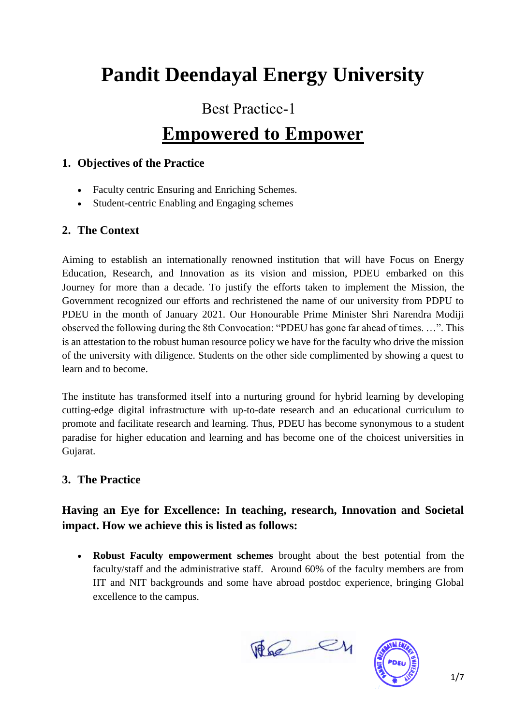# **Pandit Deendayal Energy University**

### Best Practice-1

## **Empowered to Empower**

#### **1. Objectives of the Practice**

- Faculty centric Ensuring and Enriching Schemes.
- Student-centric Enabling and Engaging schemes

### **2. The Context**

Aiming to establish an internationally renowned institution that will have Focus on Energy Education, Research, and Innovation as its vision and mission, PDEU embarked on this Journey for more than a decade. To justify the efforts taken to implement the Mission, the Government recognized our efforts and rechristened the name of our university from PDPU to PDEU in the month of January 2021. Our Honourable Prime Minister Shri Narendra Modiji observed the following during the 8th Convocation: "PDEU has gone far ahead of times. …". This is an attestation to the robust human resource policy we have for the faculty who drive the mission of the university with diligence. Students on the other side complimented by showing a quest to learn and to become.

The institute has transformed itself into a nurturing ground for hybrid learning by developing cutting-edge digital infrastructure with up-to-date research and an educational curriculum to promote and facilitate research and learning. Thus, PDEU has become synonymous to a student paradise for higher education and learning and has become one of the choicest universities in Gujarat.

### **3. The Practice**

### **Having an Eye for Excellence: In teaching, research, Innovation and Societal impact. How we achieve this is listed as follows:**

 **Robust Faculty empowerment schemes** brought about the best potential from the faculty/staff and the administrative staff. Around 60% of the faculty members are from IIT and NIT backgrounds and some have abroad postdoc experience, bringing Global excellence to the campus.

The en

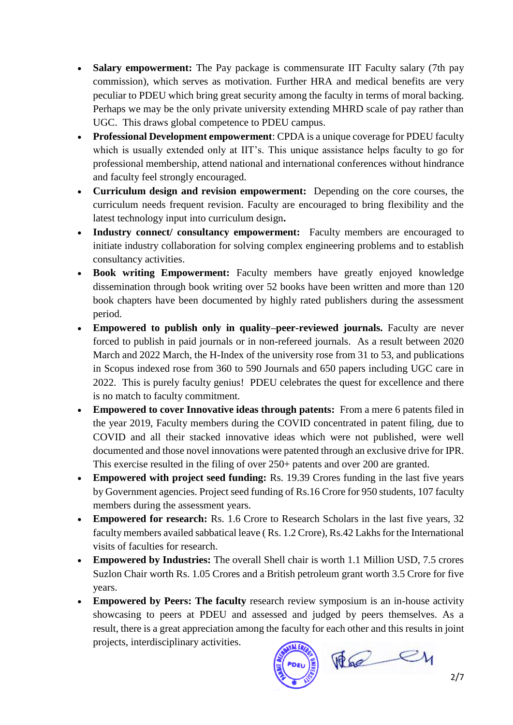- **Salary empowerment:** The Pay package is commensurate IIT Faculty salary (7th pay commission), which serves as motivation. Further HRA and medical benefits are very peculiar to PDEU which bring great security among the faculty in terms of moral backing. Perhaps we may be the only private university extending MHRD scale of pay rather than UGC. This draws global competence to PDEU campus.
- **Professional Development empowerment**: CPDA is a unique coverage for PDEU faculty which is usually extended only at IIT's. This unique assistance helps faculty to go for professional membership, attend national and international conferences without hindrance and faculty feel strongly encouraged.
- **Curriculum design and revision empowerment:** Depending on the core courses, the curriculum needs frequent revision. Faculty are encouraged to bring flexibility and the latest technology input into curriculum design**.**
- **Industry connect/ consultancy empowerment:** Faculty members are encouraged to initiate industry collaboration for solving complex engineering problems and to establish consultancy activities.
- **Book writing Empowerment:** Faculty members have greatly enjoyed knowledge dissemination through book writing over 52 books have been written and more than 120 book chapters have been documented by highly rated publishers during the assessment period.
- **Empowered to publish only in quality–peer-reviewed journals.** Faculty are never forced to publish in paid journals or in non-refereed journals. As a result between 2020 March and 2022 March, the H-Index of the university rose from 31 to 53, and publications in Scopus indexed rose from 360 to 590 Journals and 650 papers including UGC care in 2022. This is purely faculty genius! PDEU celebrates the quest for excellence and there is no match to faculty commitment.
- **Empowered to cover Innovative ideas through patents:** From a mere 6 patents filed in the year 2019, Faculty members during the COVID concentrated in patent filing, due to COVID and all their stacked innovative ideas which were not published, were well documented and those novel innovations were patented through an exclusive drive for IPR. This exercise resulted in the filing of over 250+ patents and over 200 are granted.
- **Empowered with project seed funding:** Rs. 19.39 Crores funding in the last five years by Government agencies. Project seed funding of Rs.16 Crore for 950 students, 107 faculty members during the assessment years.
- **Empowered for research:** Rs. 1.6 Crore to Research Scholars in the last five years, 32 faculty members availed sabbatical leave ( Rs. 1.2 Crore), Rs.42 Lakhs for the International visits of faculties for research.
- **Empowered by Industries:** The overall Shell chair is worth 1.1 Million USD, 7.5 crores Suzlon Chair worth Rs. 1.05 Crores and a British petroleum grant worth 3.5 Crore for five years.
- **Empowered by Peers: The faculty** research review symposium is an in-house activity showcasing to peers at PDEU and assessed and judged by peers themselves. As a result, there is a great appreciation among the faculty for each other and this results in joint projects, interdisciplinary activities.

The ey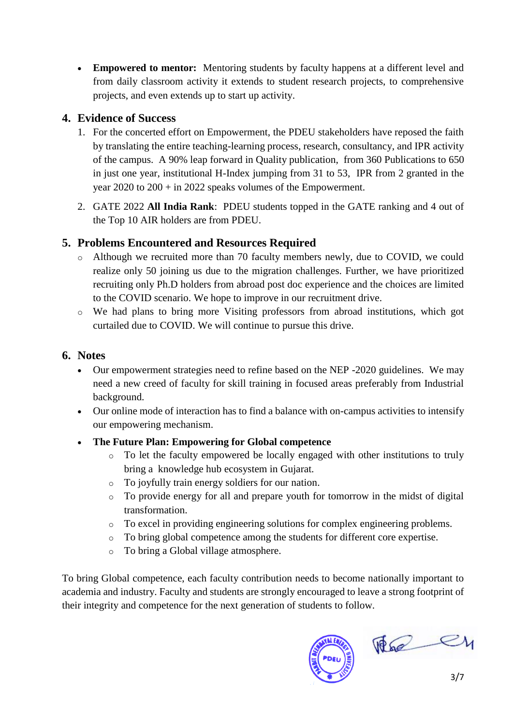**Empowered to mentor:** Mentoring students by faculty happens at a different level and from daily classroom activity it extends to student research projects, to comprehensive projects, and even extends up to start up activity.

### **4. Evidence of Success**

- 1. For the concerted effort on Empowerment, the PDEU stakeholders have reposed the faith by translating the entire teaching-learning process, research, consultancy, and IPR activity of the campus. A 90% leap forward in Quality publication, from 360 Publications to 650 in just one year, institutional H-Index jumping from 31 to 53, IPR from 2 granted in the year 2020 to 200 + in 2022 speaks volumes of the Empowerment.
- 2. GATE 2022 **All India Rank**: PDEU students topped in the GATE ranking and 4 out of the Top 10 AIR holders are from PDEU.

### **5. Problems Encountered and Resources Required**

- o Although we recruited more than 70 faculty members newly, due to COVID, we could realize only 50 joining us due to the migration challenges. Further, we have prioritized recruiting only Ph.D holders from abroad post doc experience and the choices are limited to the COVID scenario. We hope to improve in our recruitment drive.
- o We had plans to bring more Visiting professors from abroad institutions, which got curtailed due to COVID. We will continue to pursue this drive.

### **6. Notes**

- Our empowerment strategies need to refine based on the NEP -2020 guidelines. We may need a new creed of faculty for skill training in focused areas preferably from Industrial background.
- Our online mode of interaction has to find a balance with on-campus activities to intensify our empowering mechanism.
- **The Future Plan: Empowering for Global competence**
	- o To let the faculty empowered be locally engaged with other institutions to truly bring a knowledge hub ecosystem in Gujarat.
	- o To joyfully train energy soldiers for our nation.
	- o To provide energy for all and prepare youth for tomorrow in the midst of digital transformation.
	- o To excel in providing engineering solutions for complex engineering problems.
	- o To bring global competence among the students for different core expertise.
	- o To bring a Global village atmosphere.

To bring Global competence, each faculty contribution needs to become nationally important to academia and industry. Faculty and students are strongly encouraged to leave a strong footprint of their integrity and competence for the next generation of students to follow.



 $\begin{picture}(120,10) \put(0,0){\line(1,0){10}} \put(15,0){\line(1,0){10}} \put(15,0){\line(1,0){10}} \put(15,0){\line(1,0){10}} \put(15,0){\line(1,0){10}} \put(15,0){\line(1,0){10}} \put(15,0){\line(1,0){10}} \put(15,0){\line(1,0){10}} \put(15,0){\line(1,0){10}} \put(15,0){\line(1,0){10}} \put(15,0){\line(1,0){10}} \put(15,0){\line($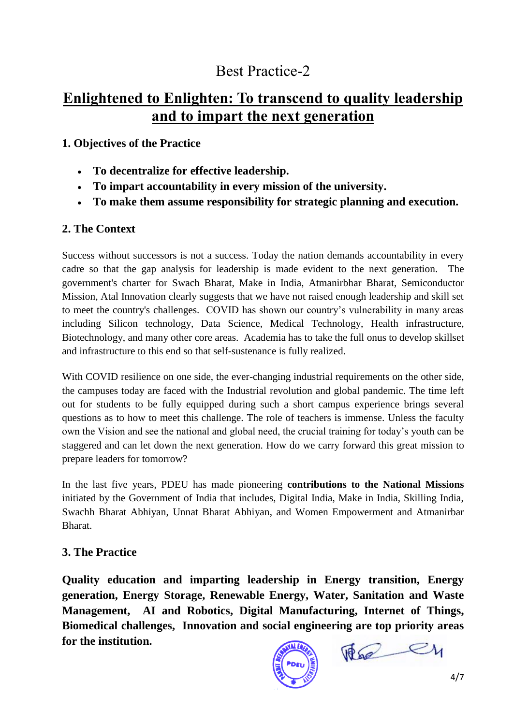### Best Practice-2

### **Enlightened to Enlighten: To transcend to quality leadership and to impart the next generation**

### **1. Objectives of the Practice**

- **To decentralize for effective leadership.**
- **To impart accountability in every mission of the university.**
- **To make them assume responsibility for strategic planning and execution.**

### **2. The Context**

Success without successors is not a success. Today the nation demands accountability in every cadre so that the gap analysis for leadership is made evident to the next generation. The government's charter for Swach Bharat, Make in India, Atmanirbhar Bharat, Semiconductor Mission, Atal Innovation clearly suggests that we have not raised enough leadership and skill set to meet the country's challenges. COVID has shown our country's vulnerability in many areas including Silicon technology, Data Science, Medical Technology, Health infrastructure, Biotechnology, and many other core areas. Academia has to take the full onus to develop skillset and infrastructure to this end so that self-sustenance is fully realized.

With COVID resilience on one side, the ever-changing industrial requirements on the other side, the campuses today are faced with the Industrial revolution and global pandemic. The time left out for students to be fully equipped during such a short campus experience brings several questions as to how to meet this challenge. The role of teachers is immense. Unless the faculty own the Vision and see the national and global need, the crucial training for today's youth can be staggered and can let down the next generation. How do we carry forward this great mission to prepare leaders for tomorrow?

In the last five years, PDEU has made pioneering **contributions to the National Missions**  initiated by the Government of India that includes, Digital India, Make in India, Skilling India, Swachh Bharat Abhiyan, Unnat Bharat Abhiyan, and Women Empowerment and Atmanirbar Bharat.

### **3. The Practice**

**Quality education and imparting leadership in Energy transition, Energy generation, Energy Storage, Renewable Energy, Water, Sanitation and Waste Management, AI and Robotics, Digital Manufacturing, Internet of Things, Biomedical challenges, Innovation and social engineering are top priority areas for the institution.**

The ey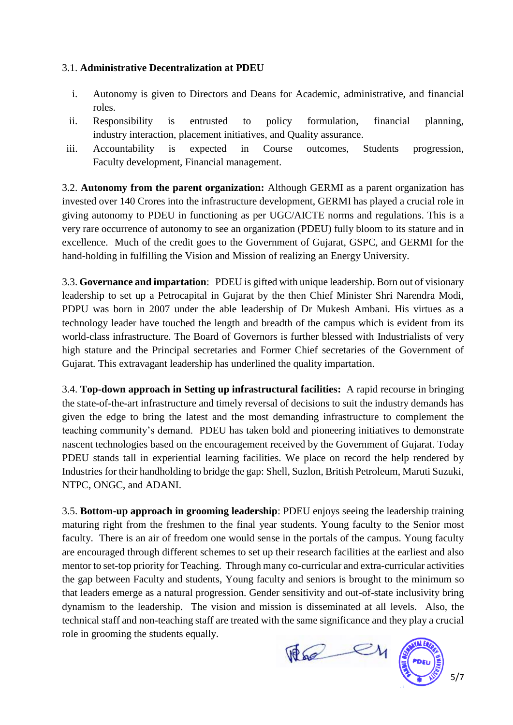#### 3.1. **Administrative Decentralization at PDEU**

- i. Autonomy is given to Directors and Deans for Academic, administrative, and financial roles.
- ii. Responsibility is entrusted to policy formulation, financial planning, industry interaction, placement initiatives, and Quality assurance.
- iii. Accountability is expected in Course outcomes, Students progression, Faculty development, Financial management.

3.2. **Autonomy from the parent organization:** Although GERMI as a parent organization has invested over 140 Crores into the infrastructure development, GERMI has played a crucial role in giving autonomy to PDEU in functioning as per UGC/AICTE norms and regulations. This is a very rare occurrence of autonomy to see an organization (PDEU) fully bloom to its stature and in excellence. Much of the credit goes to the Government of Gujarat, GSPC, and GERMI for the hand-holding in fulfilling the Vision and Mission of realizing an Energy University.

3.3. **Governance and impartation**: PDEU is gifted with unique leadership. Born out of visionary leadership to set up a Petrocapital in Gujarat by the then Chief Minister Shri Narendra Modi, PDPU was born in 2007 under the able leadership of Dr Mukesh Ambani. His virtues as a technology leader have touched the length and breadth of the campus which is evident from its world-class infrastructure. The Board of Governors is further blessed with Industrialists of very high stature and the Principal secretaries and Former Chief secretaries of the Government of Gujarat. This extravagant leadership has underlined the quality impartation.

3.4. **Top-down approach in Setting up infrastructural facilities:** A rapid recourse in bringing the state-of-the-art infrastructure and timely reversal of decisions to suit the industry demands has given the edge to bring the latest and the most demanding infrastructure to complement the teaching community's demand. PDEU has taken bold and pioneering initiatives to demonstrate nascent technologies based on the encouragement received by the Government of Gujarat. Today PDEU stands tall in experiential learning facilities. We place on record the help rendered by Industries for their handholding to bridge the gap: Shell, Suzlon, British Petroleum, Maruti Suzuki, NTPC, ONGC, and ADANI.

3.5. **Bottom-up approach in grooming leadership**: PDEU enjoys seeing the leadership training maturing right from the freshmen to the final year students. Young faculty to the Senior most faculty. There is an air of freedom one would sense in the portals of the campus. Young faculty are encouraged through different schemes to set up their research facilities at the earliest and also mentor to set-top priority for Teaching. Through many co-curricular and extra-curricular activities the gap between Faculty and students, Young faculty and seniors is brought to the minimum so that leaders emerge as a natural progression. Gender sensitivity and out-of-state inclusivity bring dynamism to the leadership. The vision and mission is disseminated at all levels. Also, the technical staff and non-teaching staff are treated with the same significance and they play a crucial role in grooming the students equally.

The CH



5/7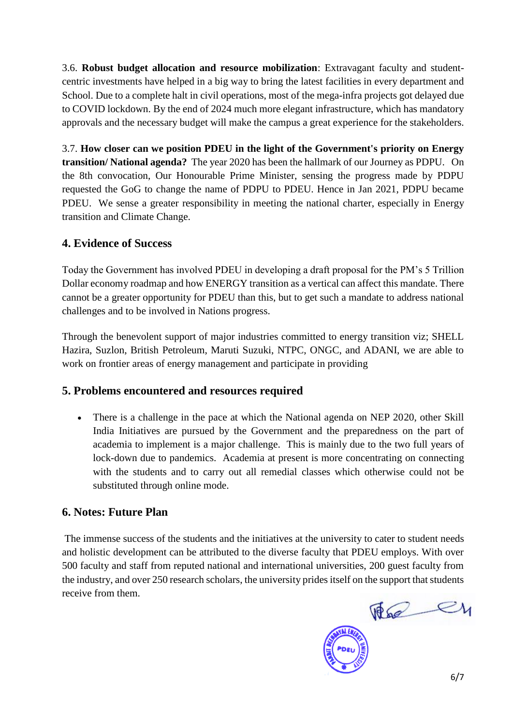3.6. **Robust budget allocation and resource mobilization**: Extravagant faculty and studentcentric investments have helped in a big way to bring the latest facilities in every department and School. Due to a complete halt in civil operations, most of the mega-infra projects got delayed due to COVID lockdown. By the end of 2024 much more elegant infrastructure, which has mandatory approvals and the necessary budget will make the campus a great experience for the stakeholders.

3.7. **How closer can we position PDEU in the light of the Government's priority on Energy transition/ National agenda?** The year 2020 has been the hallmark of our Journey as PDPU. On the 8th convocation, Our Honourable Prime Minister, sensing the progress made by PDPU requested the GoG to change the name of PDPU to PDEU. Hence in Jan 2021, PDPU became PDEU. We sense a greater responsibility in meeting the national charter, especially in Energy transition and Climate Change.

### **4. Evidence of Success**

Today the Government has involved PDEU in developing a draft proposal for the PM's 5 Trillion Dollar economy roadmap and how ENERGY transition as a vertical can affect this mandate. There cannot be a greater opportunity for PDEU than this, but to get such a mandate to address national challenges and to be involved in Nations progress.

Through the benevolent support of major industries committed to energy transition viz; SHELL Hazira, Suzlon, British Petroleum, Maruti Suzuki, NTPC, ONGC, and ADANI, we are able to work on frontier areas of energy management and participate in providing

### **5. Problems encountered and resources required**

• There is a challenge in the pace at which the National agenda on NEP 2020, other Skill India Initiatives are pursued by the Government and the preparedness on the part of academia to implement is a major challenge. This is mainly due to the two full years of lock-down due to pandemics. Academia at present is more concentrating on connecting with the students and to carry out all remedial classes which otherwise could not be substituted through online mode.

### **6. Notes: Future Plan**

The immense success of the students and the initiatives at the university to cater to student needs and holistic development can be attributed to the diverse faculty that PDEU employs. With over 500 faculty and staff from reputed national and international universities, 200 guest faculty from the industry, and over 250 research scholars, the university prides itself on the support that students receive from them.

The ey